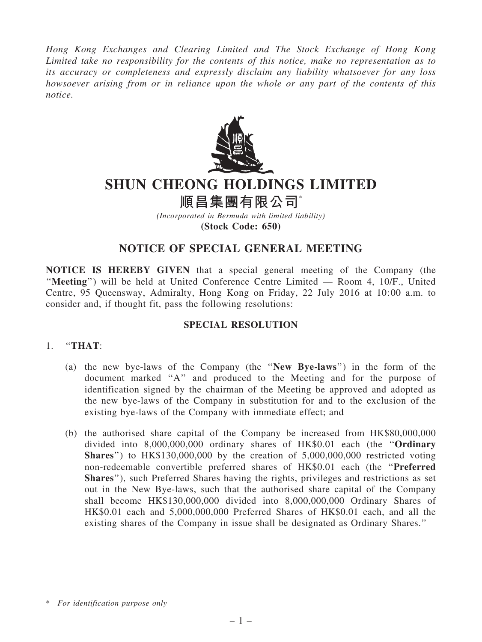*Hong Kong Exchanges and Clearing Limited and The Stock Exchange of Hong Kong Limited take no responsibility for the contents of this notice, make no representation as to its accuracy or completeness and expressly disclaim any liability whatsoever for any loss howsoever arising from or in reliance upon the whole or any part of the contents of this notice.*



# SHUN CHEONG HOLDINGS LIMITED

## 順昌集團有限公司\*

*(Incorporated in Bermuda with limited liability)* (Stock Code: 650)

### NOTICE OF SPECIAL GENERAL MEETING

NOTICE IS HEREBY GIVEN that a special general meeting of the Company (the ''Meeting'') will be held at United Conference Centre Limited — Room 4, 10/F., United Centre, 95 Queensway, Admiralty, Hong Kong on Friday, 22 July 2016 at 10:00 a.m. to consider and, if thought fit, pass the following resolutions:

#### SPECIAL RESOLUTION

#### 1. ''THAT:

- (a) the new bye-laws of the Company (the ''New Bye-laws'') in the form of the document marked ''A'' and produced to the Meeting and for the purpose of identification signed by the chairman of the Meeting be approved and adopted as the new bye-laws of the Company in substitution for and to the exclusion of the existing bye-laws of the Company with immediate effect; and
- (b) the authorised share capital of the Company be increased from HK\$80,000,000 divided into 8,000,000,000 ordinary shares of HK\$0.01 each (the ''Ordinary **Shares**") to  $HK$130,000,000$  by the creation of  $5,000,000,000$  restricted voting non-redeemable convertible preferred shares of HK\$0.01 each (the ''Preferred Shares''), such Preferred Shares having the rights, privileges and restrictions as set out in the New Bye-laws, such that the authorised share capital of the Company shall become HK\$130,000,000 divided into 8,000,000,000 Ordinary Shares of HK\$0.01 each and 5,000,000,000 Preferred Shares of HK\$0.01 each, and all the existing shares of the Company in issue shall be designated as Ordinary Shares.''

<sup>\*</sup> *For identification purpose only*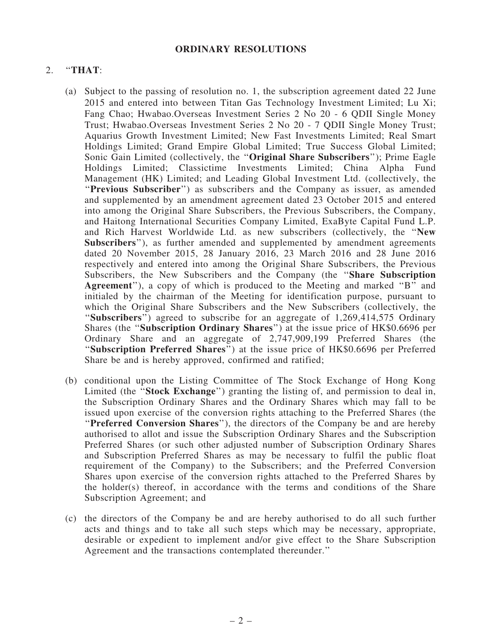#### ORDINARY RESOLUTIONS

#### $2.$  "THAT:

- (a) Subject to the passing of resolution no. 1, the subscription agreement dated 22 June 2015 and entered into between Titan Gas Technology Investment Limited; Lu Xi; Fang Chao; Hwabao.Overseas Investment Series 2 No 20 - 6 QDII Single Money Trust; Hwabao.Overseas Investment Series 2 No 20 - 7 QDII Single Money Trust; Aquarius Growth Investment Limited; New Fast Investments Limited; Real Smart Holdings Limited; Grand Empire Global Limited; True Success Global Limited; Sonic Gain Limited (collectively, the ''Original Share Subscribers''); Prime Eagle Holdings Limited; Classictime Investments Limited; China Alpha Fund Management (HK) Limited; and Leading Global Investment Ltd. (collectively, the "Previous Subscriber") as subscribers and the Company as issuer, as amended and supplemented by an amendment agreement dated 23 October 2015 and entered into among the Original Share Subscribers, the Previous Subscribers, the Company, and Haitong International Securities Company Limited, ExaByte Capital Fund L.P. and Rich Harvest Worldwide Ltd. as new subscribers (collectively, the ''New Subscribers"), as further amended and supplemented by amendment agreements dated 20 November 2015, 28 January 2016, 23 March 2016 and 28 June 2016 respectively and entered into among the Original Share Subscribers, the Previous Subscribers, the New Subscribers and the Company (the ''Share Subscription Agreement''), a copy of which is produced to the Meeting and marked ''B'' and initialed by the chairman of the Meeting for identification purpose, pursuant to which the Original Share Subscribers and the New Subscribers (collectively, the "Subscribers") agreed to subscribe for an aggregate of 1,269,414,575 Ordinary Shares (the ''Subscription Ordinary Shares'') at the issue price of HK\$0.6696 per Ordinary Share and an aggregate of 2,747,909,199 Preferred Shares (the ''Subscription Preferred Shares'') at the issue price of HK\$0.6696 per Preferred Share be and is hereby approved, confirmed and ratified;
- (b) conditional upon the Listing Committee of The Stock Exchange of Hong Kong Limited (the "Stock Exchange") granting the listing of, and permission to deal in, the Subscription Ordinary Shares and the Ordinary Shares which may fall to be issued upon exercise of the conversion rights attaching to the Preferred Shares (the "Preferred Conversion Shares"), the directors of the Company be and are hereby authorised to allot and issue the Subscription Ordinary Shares and the Subscription Preferred Shares (or such other adjusted number of Subscription Ordinary Shares and Subscription Preferred Shares as may be necessary to fulfil the public float requirement of the Company) to the Subscribers; and the Preferred Conversion Shares upon exercise of the conversion rights attached to the Preferred Shares by the holder(s) thereof, in accordance with the terms and conditions of the Share Subscription Agreement; and
- (c) the directors of the Company be and are hereby authorised to do all such further acts and things and to take all such steps which may be necessary, appropriate, desirable or expedient to implement and/or give effect to the Share Subscription Agreement and the transactions contemplated thereunder.''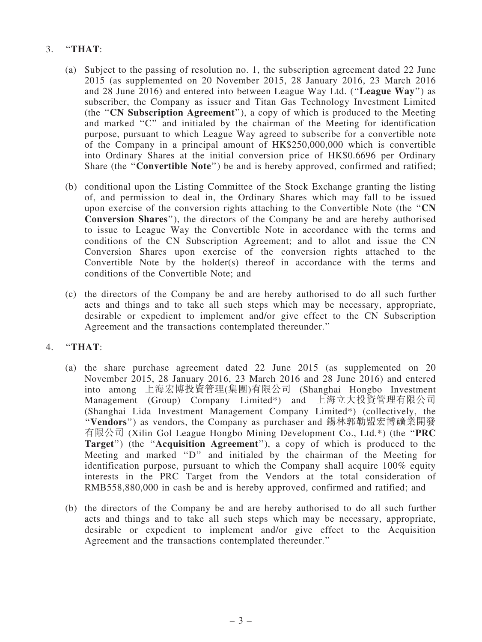### 3. ''THAT:

- (a) Subject to the passing of resolution no. 1, the subscription agreement dated 22 June 2015 (as supplemented on 20 November 2015, 28 January 2016, 23 March 2016 and 28 June 2016) and entered into between League Way Ltd. (''League Way'') as subscriber, the Company as issuer and Titan Gas Technology Investment Limited (the ''CN Subscription Agreement''), a copy of which is produced to the Meeting and marked ''C'' and initialed by the chairman of the Meeting for identification purpose, pursuant to which League Way agreed to subscribe for a convertible note of the Company in a principal amount of HK\$250,000,000 which is convertible into Ordinary Shares at the initial conversion price of HK\$0.6696 per Ordinary Share (the "Convertible Note") be and is hereby approved, confirmed and ratified;
- (b) conditional upon the Listing Committee of the Stock Exchange granting the listing of, and permission to deal in, the Ordinary Shares which may fall to be issued upon exercise of the conversion rights attaching to the Convertible Note (the ''CN Conversion Shares''), the directors of the Company be and are hereby authorised to issue to League Way the Convertible Note in accordance with the terms and conditions of the CN Subscription Agreement; and to allot and issue the CN Conversion Shares upon exercise of the conversion rights attached to the Convertible Note by the holder(s) thereof in accordance with the terms and conditions of the Convertible Note; and
- (c) the directors of the Company be and are hereby authorised to do all such further acts and things and to take all such steps which may be necessary, appropriate, desirable or expedient to implement and/or give effect to the CN Subscription Agreement and the transactions contemplated thereunder.''

#### 4. ''THAT:

- (a) the share purchase agreement dated 22 June 2015 (as supplemented on 20 November 2015, 28 January 2016, 23 March 2016 and 28 June 2016) and entered into among 上海宏博投資管理(集團)有限公司 (Shanghai Hongbo Investment Management (Group) Company Limited\*) and 上海立大投資管理有限公司 (Shanghai Lida Investment Management Company Limited\*) (collectively, the ''Vendors'') as vendors, the Company as purchaser and 錫林郭勒盟宏博礦業開發 有限公司 (Xilin Gol League Hongbo Mining Development Co., Ltd.\*) (the ''PRC Target") (the "Acquisition Agreement"), a copy of which is produced to the Meeting and marked ''D'' and initialed by the chairman of the Meeting for identification purpose, pursuant to which the Company shall acquire 100% equity interests in the PRC Target from the Vendors at the total consideration of RMB558,880,000 in cash be and is hereby approved, confirmed and ratified; and
- (b) the directors of the Company be and are hereby authorised to do all such further acts and things and to take all such steps which may be necessary, appropriate, desirable or expedient to implement and/or give effect to the Acquisition Agreement and the transactions contemplated thereunder.''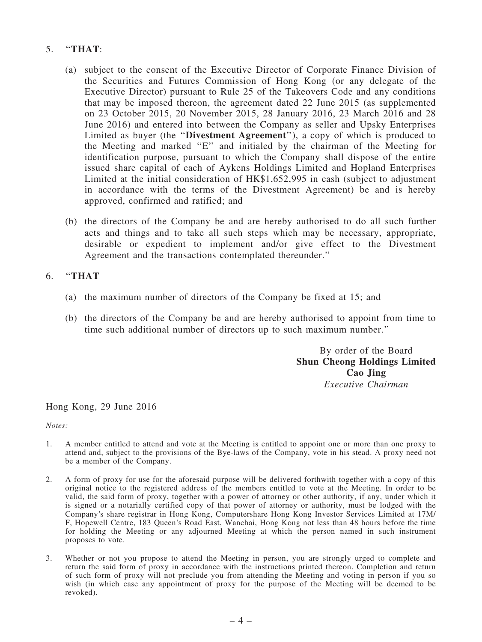#### 5. ''THAT:

- (a) subject to the consent of the Executive Director of Corporate Finance Division of the Securities and Futures Commission of Hong Kong (or any delegate of the Executive Director) pursuant to Rule 25 of the Takeovers Code and any conditions that may be imposed thereon, the agreement dated 22 June 2015 (as supplemented on 23 October 2015, 20 November 2015, 28 January 2016, 23 March 2016 and 28 June 2016) and entered into between the Company as seller and Upsky Enterprises Limited as buyer (the ''Divestment Agreement''), a copy of which is produced to the Meeting and marked ''E'' and initialed by the chairman of the Meeting for identification purpose, pursuant to which the Company shall dispose of the entire issued share capital of each of Aykens Holdings Limited and Hopland Enterprises Limited at the initial consideration of HK\$1,652,995 in cash (subject to adjustment in accordance with the terms of the Divestment Agreement) be and is hereby approved, confirmed and ratified; and
- (b) the directors of the Company be and are hereby authorised to do all such further acts and things and to take all such steps which may be necessary, appropriate, desirable or expedient to implement and/or give effect to the Divestment Agreement and the transactions contemplated thereunder.''

#### 6. ''THAT

- (a) the maximum number of directors of the Company be fixed at 15; and
- (b) the directors of the Company be and are hereby authorised to appoint from time to time such additional number of directors up to such maximum number.''

By order of the Board Shun Cheong Holdings Limited Cao Jing *Executive Chairman*

Hong Kong, 29 June 2016

*Notes:*

- 1. A member entitled to attend and vote at the Meeting is entitled to appoint one or more than one proxy to attend and, subject to the provisions of the Bye-laws of the Company, vote in his stead. A proxy need not be a member of the Company.
- 2. A form of proxy for use for the aforesaid purpose will be delivered forthwith together with a copy of this original notice to the registered address of the members entitled to vote at the Meeting. In order to be valid, the said form of proxy, together with a power of attorney or other authority, if any, under which it is signed or a notarially certified copy of that power of attorney or authority, must be lodged with the Company's share registrar in Hong Kong, Computershare Hong Kong Investor Services Limited at 17M/ F, Hopewell Centre, 183 Queen's Road East, Wanchai, Hong Kong not less than 48 hours before the time for holding the Meeting or any adjourned Meeting at which the person named in such instrument proposes to vote.
- 3. Whether or not you propose to attend the Meeting in person, you are strongly urged to complete and return the said form of proxy in accordance with the instructions printed thereon. Completion and return of such form of proxy will not preclude you from attending the Meeting and voting in person if you so wish (in which case any appointment of proxy for the purpose of the Meeting will be deemed to be revoked).